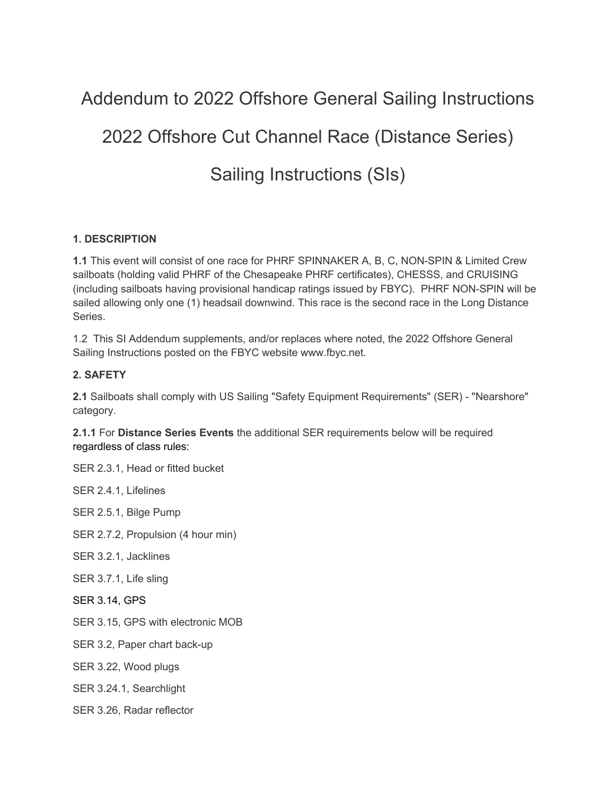# Addendum to 2022 Offshore General Sailing Instructions 2022 Offshore Cut Channel Race (Distance Series) Sailing Instructions (SIs)

## **1. DESCRIPTION**

**1.1** This event will consist of one race for PHRF SPINNAKER A, B, C, NON-SPIN & Limited Crew sailboats (holding valid PHRF of the Chesapeake PHRF certificates), CHESSS, and CRUISING (including sailboats having provisional handicap ratings issued by FBYC). PHRF NON-SPIN will be sailed allowing only one (1) headsail downwind. This race is the second race in the Long Distance Series.

1.2 This SI Addendum supplements, and/or replaces where noted, the 2022 Offshore General Sailing Instructions posted on the FBYC website www.fbyc.net.

### **2. SAFETY**

**2.1** Sailboats shall comply with US Sailing "Safety Equipment Requirements" (SER) - "Nearshore" category.

**2.1.1** For **Distance Series Events** the additional SER requirements below will be required regardless of class rules:

SER 2.3.1, Head or fitted bucket

SER 2.4.1, Lifelines

SER 2.5.1, Bilge Pump

SER 2.7.2, Propulsion (4 hour min)

SER 3.2.1, Jacklines

- SER 3.7.1, Life sling
- SER 3.14, GPS
- SER 3.15, GPS with electronic MOB
- SER 3.2, Paper chart back-up
- SER 3.22, Wood plugs
- SER 3.24.1, Searchlight
- SER 3.26, Radar reflector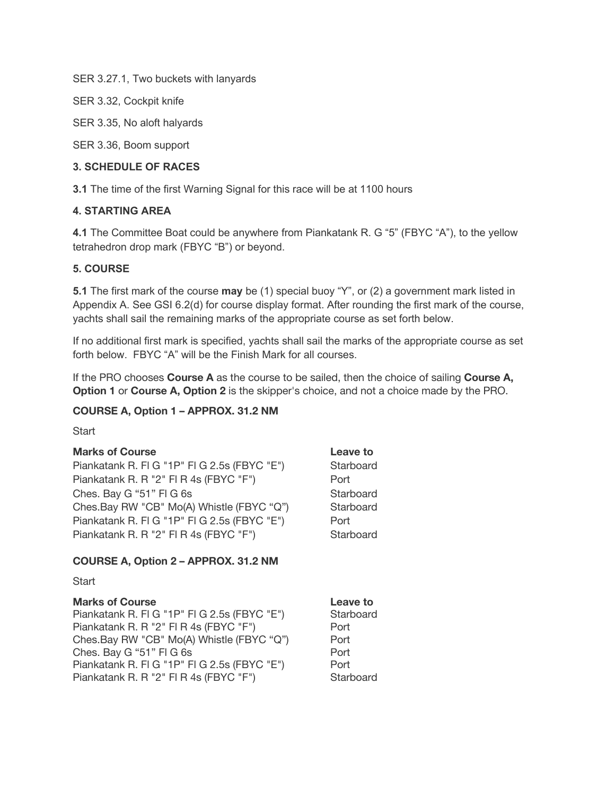SER 3.27.1, Two buckets with lanyards

SER 3.32, Cockpit knife

SER 3.35, No aloft halyards

SER 3.36, Boom support

### **3. SCHEDULE OF RACES**

**3.1** The time of the first Warning Signal for this race will be at 1100 hours

### **4. STARTING AREA**

**4.1** The Committee Boat could be anywhere from Piankatank R. G "5" (FBYC "A"), to the yellow tetrahedron drop mark (FBYC "B") or beyond.

### **5. COURSE**

**5.1** The first mark of the course **may** be (1) special buoy "Y", or (2) a government mark listed in Appendix A. See GSI 6.2(d) for course display format. After rounding the first mark of the course, yachts shall sail the remaining marks of the appropriate course as set forth below.

If no additional first mark is specified, yachts shall sail the marks of the appropriate course as set forth below. FBYC "A" will be the Finish Mark for all courses.

If the PRO chooses **Course A** as the course to be sailed, then the choice of sailing **Course A, Option 1** or **Course A, Option 2** is the skipper's choice, and not a choice made by the PRO.

### **COURSE A, Option 1 – APPROX. 31.2 NM**

**Start** 

# **Marks of Course Leave to** Piankatank R. Fl G "1P" Fl G 2.5s (FBYC "E") Starboard Piankatank R. R "2" FI R 4s (FBYC "F") Port Ches. Bay G "51" FI G 6s Starboard Ches.Bay RW "CB" Mo(A) Whistle (FBYC "Q") Starboard Piankatank R. FI G "1P" FI G 2.5s (FBYC "E") Port Piankatank R. R "2" FI R 4s (FBYC "F") Starboard **COURSE A, Option 2 – APPROX. 31.2 NM Start**

**Marks of Course Leave to** Piankatank R. Fl G "1P" Fl G 2.5s (FBYC "E") Starboard Piankatank R. R "2" FI R 4s (FBYC "F") Port Ches.Bay RW "CB" Mo(A) Whistle (FBYC "Q") Port Ches. Bay G "51" FI G 6s Port Piankatank R. FI G "1P" FI G 2.5s (FBYC "E") Port Piankatank R. R "2" FI R 4s (FBYC "F") Starboard